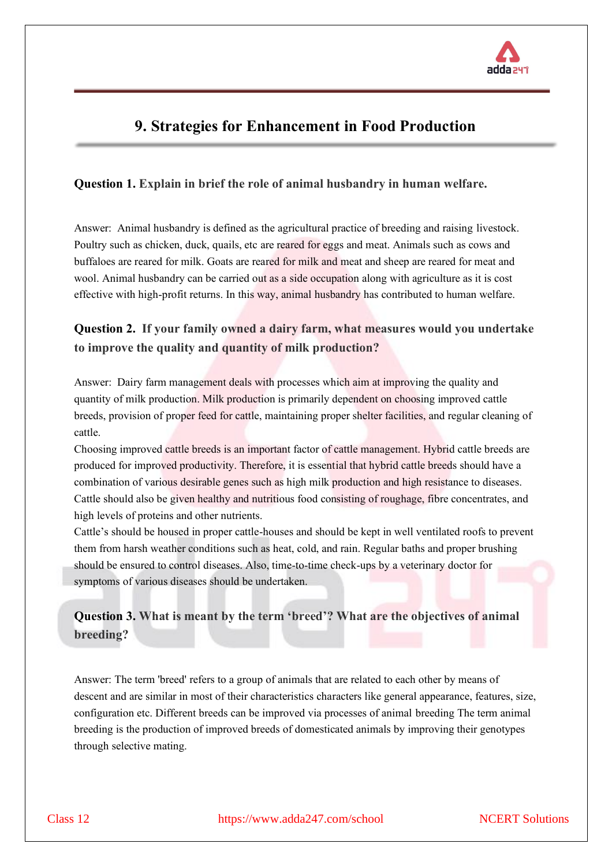

# **9. Strategies for Enhancement in Food Production**

### **Question 1. Explain in brief the role of animal husbandry in human welfare.**

Answer: Animal husbandry is defined as the agricultural practice of breeding and raising livestock. Poultry such as chicken, duck, quails, etc are reared for eggs and meat. Animals such as cows and buffaloes are reared for milk. Goats are reared for milk and meat and sheep are reared for meat and wool. Animal husbandry can be carried out as a side occupation along with agriculture as it is cost effective with high-profit returns. In this way, animal husbandry has contributed to human welfare.

## **Question 2. If your family owned a dairy farm, what measures would you undertake to improve the quality and quantity of milk production?**

Answer: Dairy farm management deals with processes which aim at improving the quality and quantity of milk production. Milk production is primarily dependent on choosing improved cattle breeds, provision of proper feed for cattle, maintaining proper shelter facilities, and regular cleaning of cattle.

Choosing improved cattle breeds is an important factor of cattle management. Hybrid cattle breeds are produced for improved productivity. Therefore, it is essential that hybrid cattle breeds should have a combination of various desirable genes such as high milk production and high resistance to diseases. Cattle should also be given healthy and nutritious food consisting of roughage, fibre concentrates, and high levels of proteins and other nutrients.

Cattle's should be housed in proper cattle-houses and should be kept in well ventilated roofs to prevent them from harsh weather conditions such as heat, cold, and rain. Regular baths and proper brushing should be ensured to control diseases. Also, time-to-time check-ups by a veterinary doctor for symptoms of various diseases should be undertaken.

# **Question 3. What is meant by the term 'breed'? What are the objectives of animal breeding?**

Answer: The term 'breed' refers to a group of animals that are related to each other by means of descent and are similar in most of their characteristics characters like general appearance, features, size, configuration etc. Different breeds can be improved via processes of animal breeding The term animal breeding is the production of improved breeds of domesticated animals by improving their genotypes through selective mating.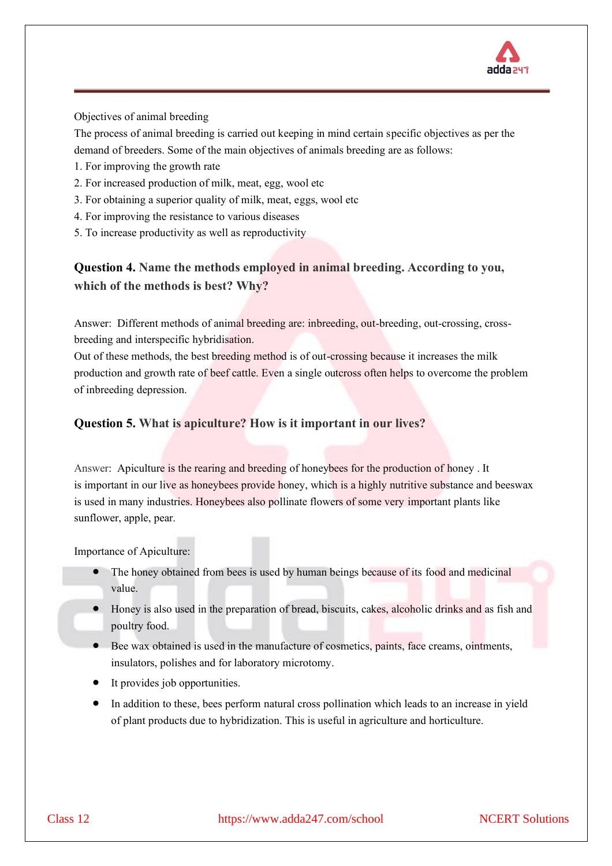

### Objectives of animal breeding

The process of animal breeding is carried out keeping in mind certain specific objectives as per the demand of breeders. Some of the main objectives of animals breeding are as follows:

- 1. For improving the growth rate
- 2. For increased production of milk, meat, egg, wool etc
- 3. For obtaining a superior quality of milk, meat, eggs, wool etc
- 4. For improving the resistance to various diseases
- 5. To increase productivity as well as reproductivity

# **Question 4. Name the methods employed in animal breeding. According to you, which of the methods is best? Why?**

Answer: Different methods of animal breeding are: inbreeding, out-breeding, out-crossing, crossbreeding and interspecific hybridisation.

Out of these methods, the best breeding method is of out-crossing because it increases the milk production and growth rate of beef cattle. Even a single outcross often helps to overcome the problem of inbreeding depression.

### **Question 5. What is apiculture? How is it important in our lives?**

Answer: Apiculture is the rearing and breeding of honeybees for the production of honey . It is important in our live as honeybees provide honey, which is a highly nutritive substance and beeswax is used in many industries. Honeybees also pollinate flowers of some very important plants like sunflower, apple, pear.

Importance of Apiculture:

- The honey obtained from bees is used by human beings because of its food and medicinal value.
- Honey is also used in the preparation of bread, biscuits, cakes, alcoholic drinks and as fish and poultry food.
- Bee wax obtained is used in the manufacture of cosmetics, paints, face creams, ointments, insulators, polishes and for laboratory microtomy.
- It provides job opportunities.
- In addition to these, bees perform natural cross pollination which leads to an increase in yield of plant products due to hybridization. This is useful in agriculture and horticulture.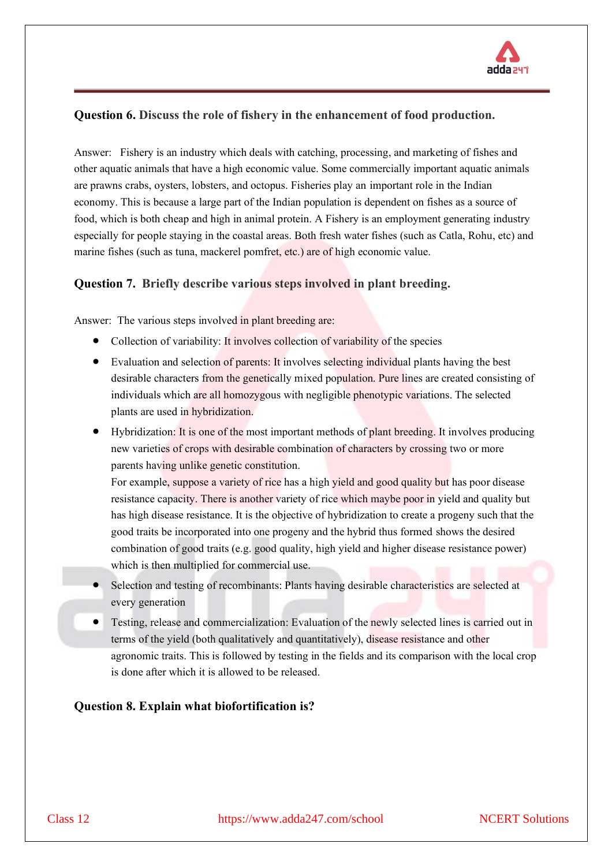

### **Question 6. Discuss the role of fishery in the enhancement of food production.**

Answer: Fishery is an industry which deals with catching, processing, and marketing of fishes and other aquatic animals that have a high economic value. Some commercially important aquatic animals are prawns crabs, oysters, lobsters, and octopus. Fisheries play an important role in the Indian economy. This is because a large part of the Indian population is dependent on fishes as a source of food, which is both cheap and high in animal protein. A Fishery is an employment generating industry especially for people staying in the coastal areas. Both fresh water fishes (such as Catla, Rohu, etc) and marine fishes (such as tuna, mackerel pomfret, etc.) are of high economic value.

### **Question 7. Briefly describe various steps involved in plant breeding.**

Answer: The various steps involved in plant breeding are:

- Collection of variability: It involves collection of variability of the species
- Evaluation and selection of parents: It involves selecting individual plants having the best desirable characters from the genetically mixed population. Pure lines are created consisting of individuals which are all homozygous with negligible phenotypic variations. The selected plants are used in hybridization.
- Hybridization: It is one of the most important methods of plant breeding. It involves producing new varieties of crops with desirable combination of characters by crossing two or more parents having unlike genetic constitution.

For example, suppose a variety of rice has a high yield and good quality but has poor disease resistance capacity. There is another variety of rice which maybe poor in yield and quality but has high disease resistance. It is the objective of hybridization to create a progeny such that the good traits be incorporated into one progeny and the hybrid thus formed shows the desired combination of good traits (e.g. good quality, high yield and higher disease resistance power) which is then multiplied for commercial use.

- Selection and testing of recombinants: Plants having desirable characteristics are selected at every generation
- Testing, release and commercialization: Evaluation of the newly selected lines is carried out in terms of the yield (both qualitatively and quantitatively), disease resistance and other agronomic traits. This is followed by testing in the fields and its comparison with the local crop is done after which it is allowed to be released.

### **Question 8. Explain what biofortification is?**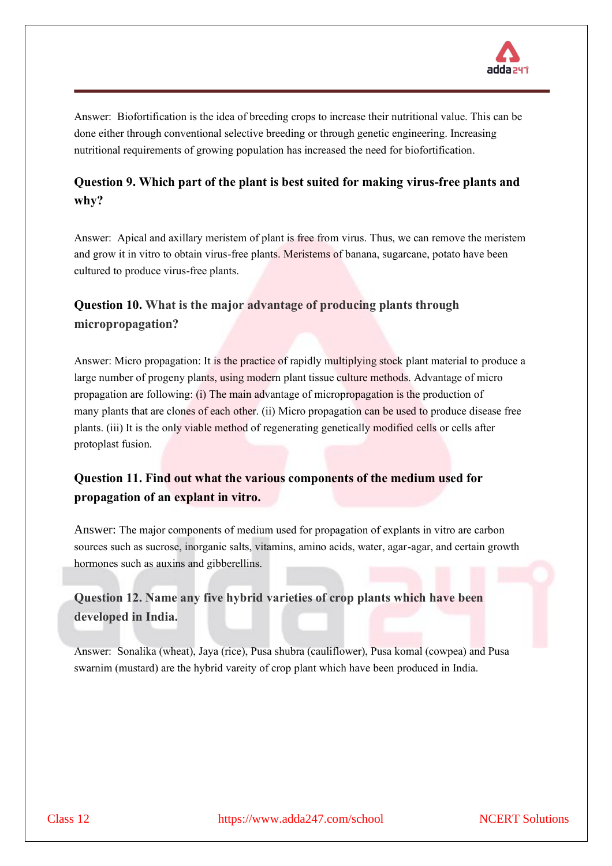

Answer: Biofortification is the idea of breeding crops to increase their nutritional value. This can be done either through conventional selective breeding or through genetic engineering. Increasing nutritional requirements of growing population has increased the need for biofortification.

# **Question 9. Which part of the plant is best suited for making virus-free plants and why?**

Answer: Apical and axillary meristem of plant is free from virus. Thus, we can remove the meristem and grow it in vitro to obtain virus-free plants. Meristems of banana, sugarcane, potato have been cultured to produce virus-free plants.

# **Question 10. What is the major advantage of producing plants through micropropagation?**

Answer: Micro propagation: It is the practice of rapidly multiplying stock plant material to produce a large number of progeny plants, using modern plant tissue culture methods. Advantage of micro propagation are following: (i) The main advantage of micropropagation is the production of many plants that are clones of each other. (ii) Micro propagation can be used to produce disease free plants. (iii) It is the only viable method of regenerating genetically modified cells or cells after protoplast fusion.

# **Question 11. Find out what the various components of the medium used for propagation of an explant in vitro.**

Answer: The major components of medium used for propagation of explants in vitro are carbon sources such as sucrose, inorganic salts, vitamins, amino acids, water, agar-agar, and certain growth hormones such as auxins and gibberellins.

# **Question 12. Name any five hybrid varieties of crop plants which have been developed in India.**

Answer: Sonalika (wheat), Jaya (rice), Pusa shubra (cauliflower), Pusa komal (cowpea) and Pusa swarnim (mustard) are the hybrid vareity of crop plant which have been produced in India.